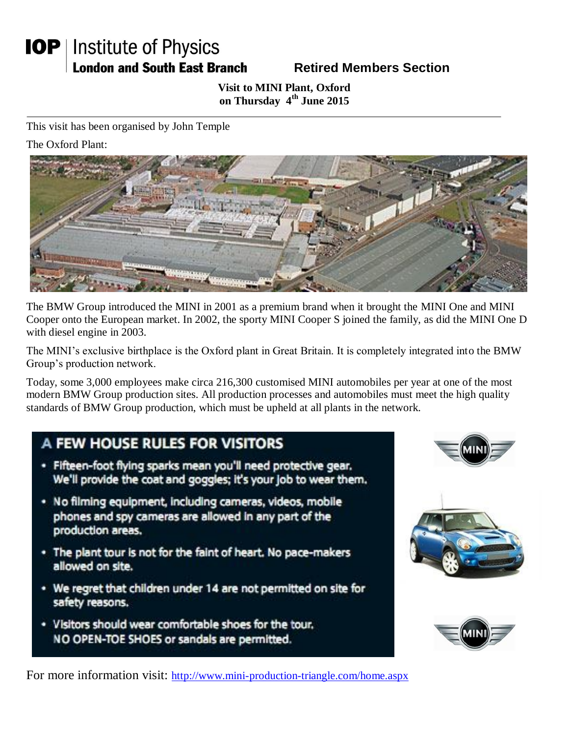# **IOP** | Institute of Physics **London and South East Branch**

### **Retired Members Section**

#### **Visit to MINI Plant, Oxford on Thursday 4th June 2015**

This visit has been organised by John Temple

The Oxford Plant:



The BMW Group introduced the MINI in 2001 as a premium brand when it brought the MINI One and MINI Cooper onto the European market. In 2002, the sporty MINI Cooper S joined the family, as did the MINI One D with diesel engine in 2003.

The MINI's exclusive birthplace is the Oxford plant in Great Britain. It is completely integrated into the BMW Group's production network.

Today, some 3,000 employees make circa 216,300 customised MINI automobiles per year at one of the most modern BMW Group production sites. All production processes and automobiles must meet the high quality standards of BMW Group production, which must be upheld at all plants in the network.

## A FEW HOUSE RULES FOR VISITORS

- · Fifteen-foot flying sparks mean you'll need protective gear. We'll provide the coat and goggles; it's your job to wear them.
- · No filming equipment, including cameras, videos, mobile phones and spy cameras are allowed in any part of the production areas.
- . The plant tour is not for the faint of heart. No pace-makers allowed on site.
- \* We regret that children under 14 are not permitted on site for safety reasons.
- . Visitors should wear comfortable shoes for the tour. NO OPEN-TOE SHOES or sandals are permitted.







For more information visit: http://www.mini-production-triangle.com/home.aspx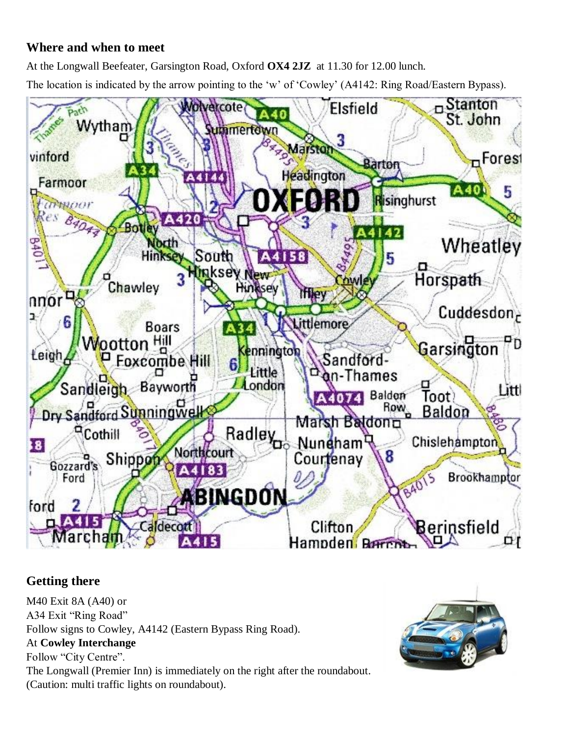### **Where and when to meet**

At the Longwall Beefeater, Garsington Road, Oxford **OX4 2JZ** at 11.30 for 12.00 lunch.

The location is indicated by the arrow pointing to the 'w' of 'Cowley' (A4142: Ring Road/Eastern Bypass).



### **Getting there**

M40 Exit 8A (A40) or A34 Exit "Ring Road" Follow signs to Cowley, A4142 (Eastern Bypass Ring Road). At **Cowley Interchange** Follow "City Centre". The Longwall (Premier Inn) is immediately on the right after the roundabout. (Caution: multi traffic lights on roundabout).

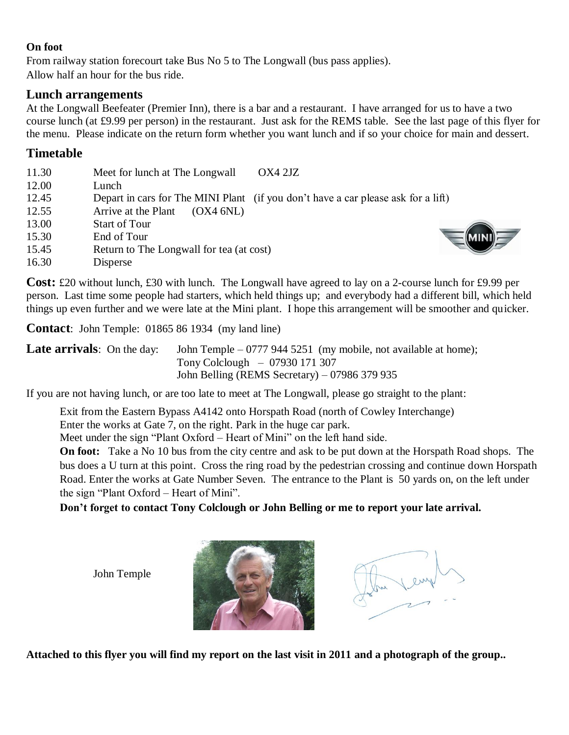#### **On foot**

From railway station forecourt take Bus No 5 to The Longwall (bus pass applies). Allow half an hour for the bus ride.

#### **Lunch arrangements**

At the Longwall Beefeater (Premier Inn), there is a bar and a restaurant. I have arranged for us to have a two course lunch (at £9.99 per person) in the restaurant. Just ask for the REMS table. See the last page of this flyer for the menu. Please indicate on the return form whether you want lunch and if so your choice for main and dessert.

#### **Timetable**

| 11.30 | Meet for lunch at The Longwall<br>OX4 2JZ                                         |
|-------|-----------------------------------------------------------------------------------|
| 12.00 | Lunch                                                                             |
| 12.45 | Depart in cars for The MINI Plant (if you don't have a car please ask for a lift) |
| 12.55 | Arrive at the Plant<br>(OX4 6NL)                                                  |
| 13.00 | <b>Start of Tour</b>                                                              |
| 15.30 | End of Tour                                                                       |
| 15.45 | Return to The Longwall for tea (at cost)                                          |
| 16.30 | <b>Disperse</b>                                                                   |

**Cost:** £20 without lunch, £30 with lunch. The Longwall have agreed to lay on a 2-course lunch for £9.99 per person. Last time some people had starters, which held things up; and everybody had a different bill, which held things up even further and we were late at the Mini plant. I hope this arrangement will be smoother and quicker.

**Contact**: John Temple: 01865 86 1934 (my land line)

**Late arrivals**: On the day: John Temple – 0777 944 5251 (my mobile, not available at home); Tony Colclough – 07930 171 307 John Belling (REMS Secretary) – 07986 379 935

If you are not having lunch, or are too late to meet at The Longwall, please go straight to the plant:

Exit from the Eastern Bypass A4142 onto Horspath Road (north of Cowley Interchange) Enter the works at Gate 7, on the right. Park in the huge car park.

Meet under the sign "Plant Oxford – Heart of Mini" on the left hand side.

**On foot:** Take a No 10 bus from the city centre and ask to be put down at the Horspath Road shops. The bus does a U turn at this point. Cross the ring road by the pedestrian crossing and continue down Horspath Road. Enter the works at Gate Number Seven. The entrance to the Plant is 50 yards on, on the left under the sign "Plant Oxford – Heart of Mini".

**Don't forget to contact Tony Colclough or John Belling or me to report your late arrival.**

John Temple





**Attached to this flyer you will find my report on the last visit in 2011 and a photograph of the group..**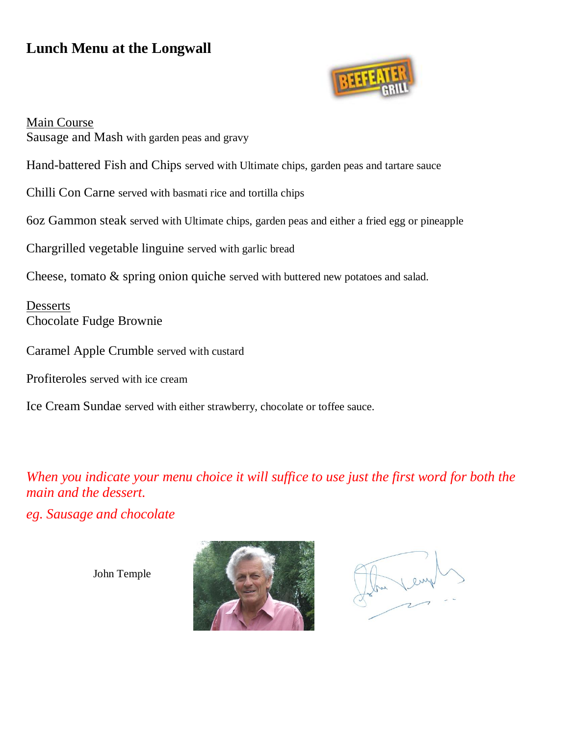## **Lunch Menu at the Longwall**



Main Course Sausage and Mash with garden peas and gravy

Hand-battered Fish and Chips served with Ultimate chips, garden peas and tartare sauce

Chilli Con Carne served with basmati rice and tortilla chips

6oz Gammon steak served with Ultimate chips, garden peas and either a fried egg or pineapple

Chargrilled vegetable linguine served with garlic bread

Cheese, tomato & spring onion quiche served with buttered new potatoes and salad.

Desserts Chocolate Fudge Brownie

Caramel Apple Crumble served with custard

Profiteroles served with ice cream

Ice Cream Sundae served with either strawberry, chocolate or toffee sauce.

*When you indicate your menu choice it will suffice to use just the first word for both the main and the dessert.*

*eg. Sausage and chocolate* 

John Temple



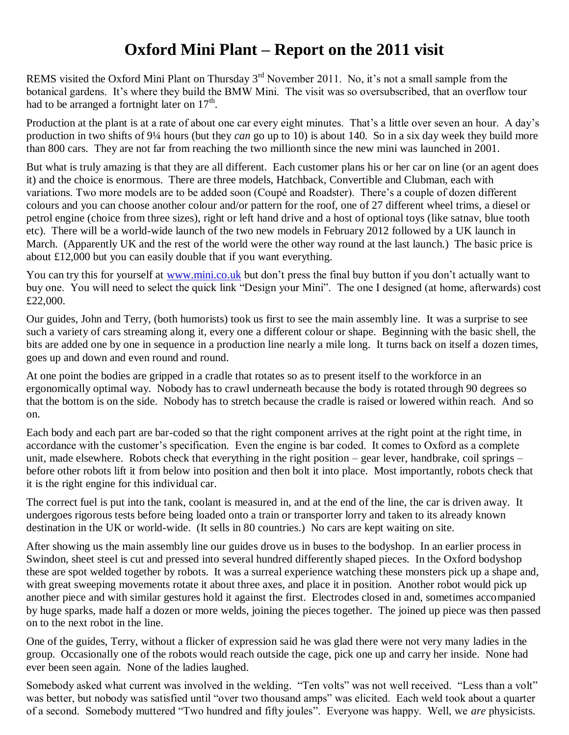## **Oxford Mini Plant – Report on the 2011 visit**

REMS visited the Oxford Mini Plant on Thursday 3<sup>rd</sup> November 2011. No, it's not a small sample from the botanical gardens. It's where they build the BMW Mini. The visit was so oversubscribed, that an overflow tour had to be arranged a fortnight later on  $17<sup>th</sup>$ .

Production at the plant is at a rate of about one car every eight minutes. That's a little over seven an hour. A day's production in two shifts of 9¼ hours (but they *can* go up to 10) is about 140. So in a six day week they build more than 800 cars. They are not far from reaching the two millionth since the new mini was launched in 2001.

But what is truly amazing is that they are all different. Each customer plans his or her car on line (or an agent does it) and the choice is enormous. There are three models, Hatchback, Convertible and Clubman, each with variations. Two more models are to be added soon (Coupé and Roadster). There's a couple of dozen different colours and you can choose another colour and/or pattern for the roof, one of 27 different wheel trims, a diesel or petrol engine (choice from three sizes), right or left hand drive and a host of optional toys (like satnav, blue tooth etc). There will be a world-wide launch of the two new models in February 2012 followed by a UK launch in March. (Apparently UK and the rest of the world were the other way round at the last launch.) The basic price is about £12,000 but you can easily double that if you want everything.

You can try this for yourself at [www.mini.co.uk](http://www.mini.co.uk/) but don't press the final buy button if you don't actually want to buy one. You will need to select the quick link "Design your Mini". The one I designed (at home, afterwards) cost £22,000.

Our guides, John and Terry, (both humorists) took us first to see the main assembly line. It was a surprise to see such a variety of cars streaming along it, every one a different colour or shape. Beginning with the basic shell, the bits are added one by one in sequence in a production line nearly a mile long. It turns back on itself a dozen times, goes up and down and even round and round.

At one point the bodies are gripped in a cradle that rotates so as to present itself to the workforce in an ergonomically optimal way. Nobody has to crawl underneath because the body is rotated through 90 degrees so that the bottom is on the side. Nobody has to stretch because the cradle is raised or lowered within reach. And so on.

Each body and each part are bar-coded so that the right component arrives at the right point at the right time, in accordance with the customer's specification. Even the engine is bar coded. It comes to Oxford as a complete unit, made elsewhere. Robots check that everything in the right position – gear lever, handbrake, coil springs – before other robots lift it from below into position and then bolt it into place. Most importantly, robots check that it is the right engine for this individual car.

The correct fuel is put into the tank, coolant is measured in, and at the end of the line, the car is driven away. It undergoes rigorous tests before being loaded onto a train or transporter lorry and taken to its already known destination in the UK or world-wide. (It sells in 80 countries.) No cars are kept waiting on site.

After showing us the main assembly line our guides drove us in buses to the bodyshop. In an earlier process in Swindon, sheet steel is cut and pressed into several hundred differently shaped pieces. In the Oxford bodyshop these are spot welded together by robots. It was a surreal experience watching these monsters pick up a shape and, with great sweeping movements rotate it about three axes, and place it in position. Another robot would pick up another piece and with similar gestures hold it against the first. Electrodes closed in and, sometimes accompanied by huge sparks, made half a dozen or more welds, joining the pieces together. The joined up piece was then passed on to the next robot in the line.

One of the guides, Terry, without a flicker of expression said he was glad there were not very many ladies in the group. Occasionally one of the robots would reach outside the cage, pick one up and carry her inside. None had ever been seen again. None of the ladies laughed.

Somebody asked what current was involved in the welding. "Ten volts" was not well received. "Less than a volt" was better, but nobody was satisfied until "over two thousand amps" was elicited. Each weld took about a quarter of a second. Somebody muttered "Two hundred and fifty joules". Everyone was happy. Well, we *are* physicists.